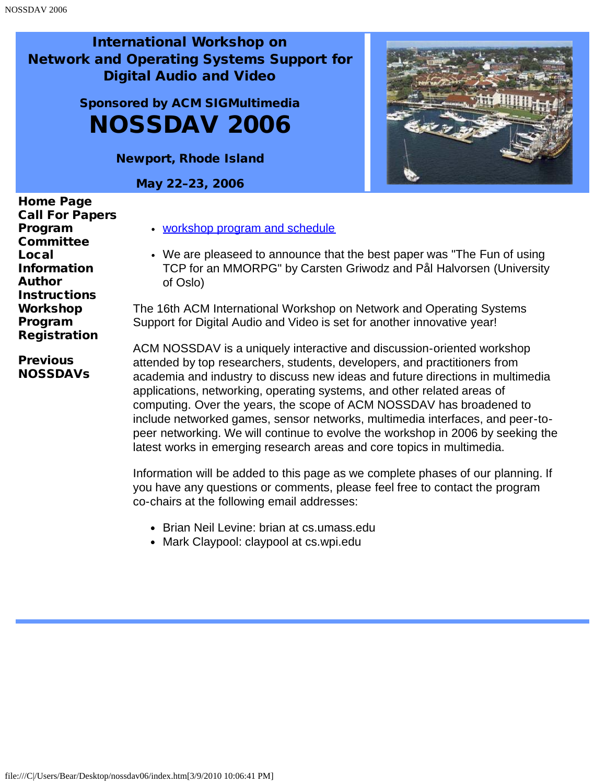# Sponsored by ACM SIGMultimedia NOSSDAV 2006

Newport, Rhode Island

May 22–23, 2006



**[Previous](javascript:if(confirm()** [NOSSDAVs](javascript:if(confirm() [workshop program and schedule](#page-9-0)

We are pleaseed to announce that the best paper was "The Fun of using TCP for an MMORPG" by Carsten Griwodz and Pål Halvorsen (University of Oslo)

The 16th ACM International Workshop on Network and Operating Systems Support for Digital Audio and Video is set for another innovative year!

ACM NOSSDAV is a uniquely interactive and discussion-oriented workshop attended by top researchers, students, developers, and practitioners from academia and industry to discuss new ideas and future directions in multimedia applications, networking, operating systems, and other related areas of computing. Over the years, the scope of ACM NOSSDAV has broadened to include networked games, sensor networks, multimedia interfaces, and peer-topeer networking. We will continue to evolve the workshop in 2006 by seeking the latest works in emerging research areas and core topics in multimedia.

Information will be added to this page as we complete phases of our planning. If you have any questions or comments, please feel free to contact the program co-chairs at the following email addresses:

- Brian Neil Levine: brian at cs.umass.edu
- Mark Claypool: claypool at cs.wpi.edu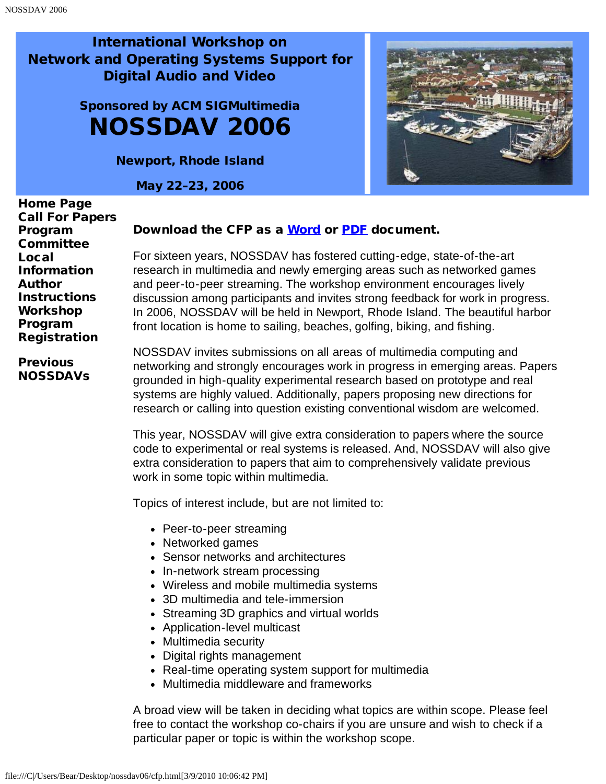# <span id="page-1-0"></span>Sponsored by ACM SIGMultimedia NOSSDAV 2006

Newport, Rhode Island

May 22–23, 2006



[Home Page](javascript:if(confirm() [Call For Papers](#page-1-0) [Program](#page-3-0) **[Committee](#page-3-0)** [Local](#page-5-0) [Information](#page-5-0) [Author](#page-7-0) **[Instructions](#page-7-0)** [Workshop](#page-9-0) [Program](#page-9-0) [Registration](#page-19-0)

**[Previous](javascript:if(confirm()** [NOSSDAVs](javascript:if(confirm()

#### Download the CFP as a [Word](javascript:if(confirm() or [PDF](javascript:if(confirm() document.

For sixteen years, NOSSDAV has fostered cutting-edge, state-of-the-art research in multimedia and newly emerging areas such as networked games and peer-to-peer streaming. The workshop environment encourages lively discussion among participants and invites strong feedback for work in progress. In 2006, NOSSDAV will be held in Newport, Rhode Island. The beautiful harbor front location is home to sailing, beaches, golfing, biking, and fishing.

NOSSDAV invites submissions on all areas of multimedia computing and networking and strongly encourages work in progress in emerging areas. Papers grounded in high-quality experimental research based on prototype and real systems are highly valued. Additionally, papers proposing new directions for research or calling into question existing conventional wisdom are welcomed.

This year, NOSSDAV will give extra consideration to papers where the source code to experimental or real systems is released. And, NOSSDAV will also give extra consideration to papers that aim to comprehensively validate previous work in some topic within multimedia.

Topics of interest include, but are not limited to:

- Peer-to-peer streaming
- Networked games
- Sensor networks and architectures
- In-network stream processing
- Wireless and mobile multimedia systems
- 3D multimedia and tele-immersion
- Streaming 3D graphics and virtual worlds
- Application-level multicast
- Multimedia security
- Digital rights management
- Real-time operating system support for multimedia
- Multimedia middleware and frameworks

A broad view will be taken in deciding what topics are within scope. Please feel free to contact the workshop co-chairs if you are unsure and wish to check if a particular paper or topic is within the workshop scope.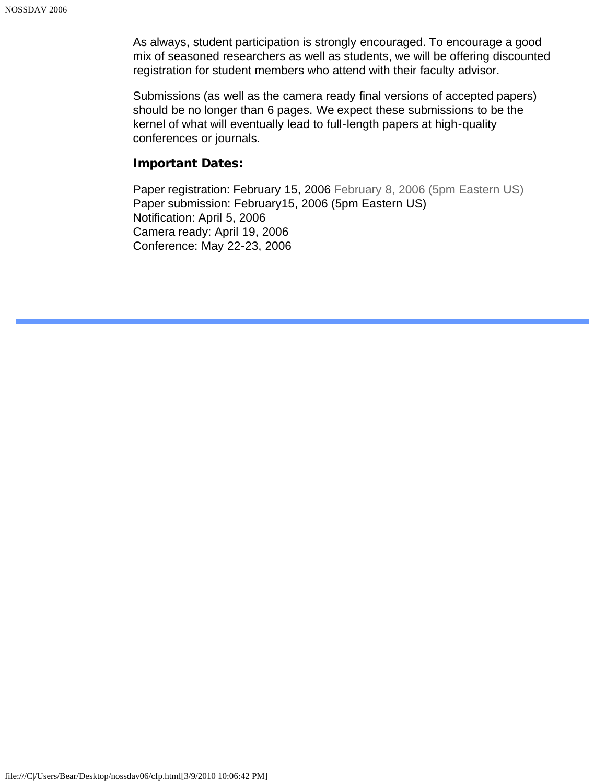As always, student participation is strongly encouraged. To encourage a good mix of seasoned researchers as well as students, we will be offering discounted registration for student members who attend with their faculty advisor.

Submissions (as well as the camera ready final versions of accepted papers) should be no longer than 6 pages. We expect these submissions to be the kernel of what will eventually lead to full-length papers at high-quality conferences or journals.

#### Important Dates:

Paper registration: February 15, 2006 February 8, 2006 (5pm Eastern US) Paper submission: February15, 2006 (5pm Eastern US) Notification: April 5, 2006 Camera ready: April 19, 2006 Conference: May 22-23, 2006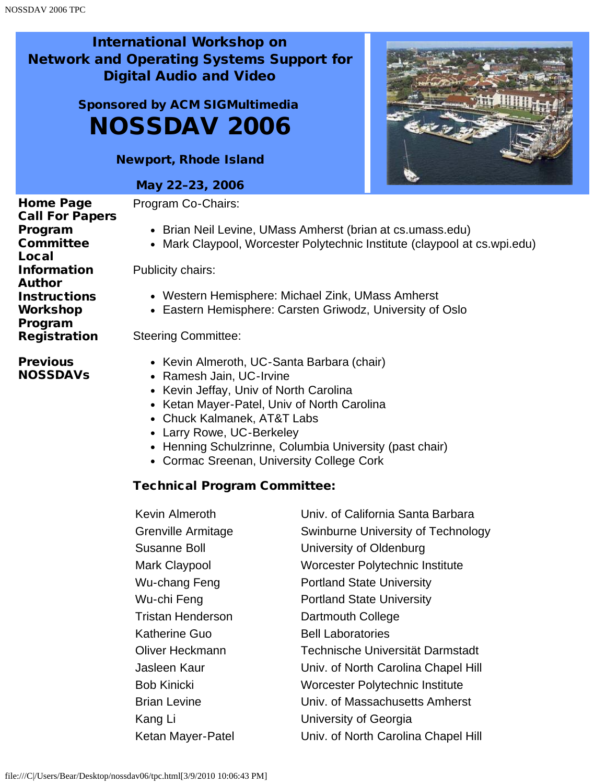# <span id="page-3-0"></span>Sponsored by ACM SIGMultimedia NOSSDAV 2006

Newport, Rhode Island

#### May 22–23, 2006

[Home Page](javascript:if(confirm() [Call For Papers](#page-1-0) [Program](#page-3-0) [Committee](#page-3-0) [Local](#page-5-0) [Information](#page-5-0) [Author](#page-7-0) **[Instructions](#page-7-0)** [Workshop](#page-9-0) [Program](#page-9-0) **[Registration](#page-19-0) [Previous](javascript:if(confirm()** [NOSSDAVs](javascript:if(confirm() Program Co-Chairs: Brian Neil Levine, UMass Amherst (brian at cs.umass.edu) Mark Claypool, Worcester Polytechnic Institute (claypool at cs.wpi.edu) Publicity chairs: Western Hemisphere: Michael Zink, UMass Amherst Eastern Hemisphere: Carsten Griwodz, University of Oslo Steering Committee: • Kevin Almeroth, UC-Santa Barbara (chair)

- Ramesh Jain, UC-Irvine
- Kevin Jeffay, Univ of North Carolina
- Ketan Mayer-Patel, Univ of North Carolina
- Chuck Kalmanek, AT&T Labs
- Larry Rowe, UC-Berkeley
- Henning Schulzrinne, Columbia University (past chair)
- Cormac Sreenan, University College Cork

### Technical Program Committee:

| Kevin Almeroth     | Univ. of California Santa Barbara   |
|--------------------|-------------------------------------|
| Grenville Armitage | Swinburne University of Technology  |
| Susanne Boll       | University of Oldenburg             |
| Mark Claypool      | Worcester Polytechnic Institute     |
| Wu-chang Feng      | <b>Portland State University</b>    |
| Wu-chi Feng        | <b>Portland State University</b>    |
| Tristan Henderson  | Dartmouth College                   |
| Katherine Guo      | <b>Bell Laboratories</b>            |
| Oliver Heckmann    | Technische Universität Darmstadt    |
| Jasleen Kaur       | Univ. of North Carolina Chapel Hill |
| Bob Kinicki        | Worcester Polytechnic Institute     |
| Brian Levine       | Univ. of Massachusetts Amherst      |
| Kang Li            | University of Georgia               |
| Ketan Mayer-Patel  | Univ. of North Carolina Chapel Hill |

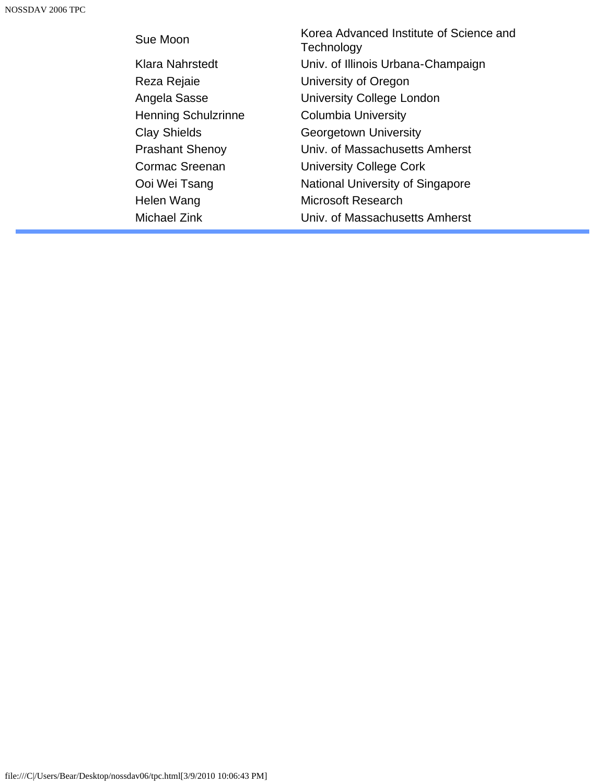| Sue Moon                   | Korea Advanced Institute of Science and<br>Technology |
|----------------------------|-------------------------------------------------------|
| Klara Nahrstedt            | Univ. of Illinois Urbana-Champaign                    |
| Reza Rejaie                | University of Oregon                                  |
| Angela Sasse               | University College London                             |
| <b>Henning Schulzrinne</b> | <b>Columbia University</b>                            |
| <b>Clay Shields</b>        | Georgetown University                                 |
| <b>Prashant Shenoy</b>     | Univ. of Massachusetts Amherst                        |
| Cormac Sreenan             | <b>University College Cork</b>                        |
| Ooi Wei Tsang              | National University of Singapore                      |
| Helen Wang                 | <b>Microsoft Research</b>                             |
| Michael Zink               | Univ. of Massachusetts Amherst                        |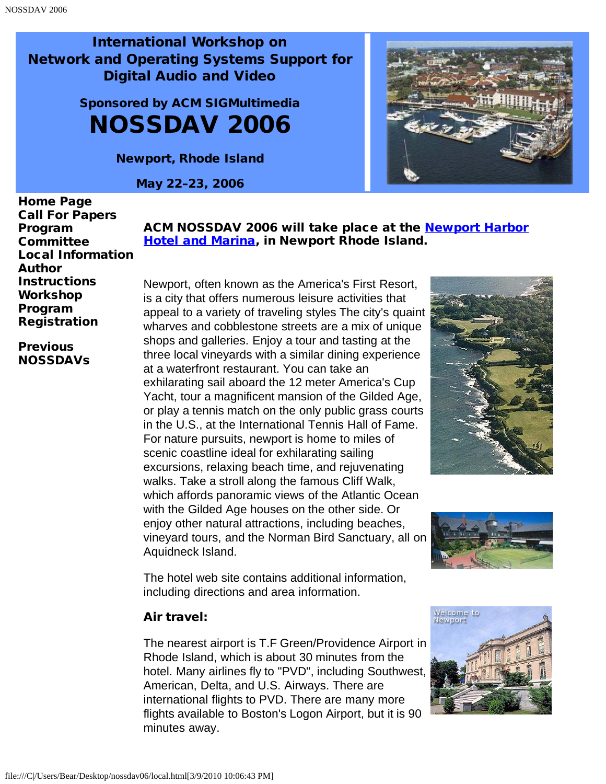> <span id="page-5-0"></span>Sponsored by ACM SIGMultimedia NOSSDAV 2006

> > Newport, Rhode Island

May 22–23, 2006



[Home Page](javascript:if(confirm() [Call For Papers](#page-1-0) [Program](#page-3-0) **[Committee](#page-3-0)** [Local Information](#page-5-0) [Author](#page-7-0) **[Instructions](#page-7-0)** [Workshop](#page-9-0) [Program](#page-9-0) [Registration](#page-19-0)

**[Previous](javascript:if(confirm()** [NOSSDAVs](javascript:if(confirm() ACM NOSSDAV 2006 will take place at the **Newport Harbor [Hotel and Marina](javascript:if(confirm(), in Newport Rhode Island.** 

Newport, often known as the America's First Resort, is a city that offers numerous leisure activities that appeal to a variety of traveling styles The city's quaint wharves and cobblestone streets are a mix of unique shops and galleries. Enjoy a tour and tasting at the three local vineyards with a similar dining experience at a waterfront restaurant. You can take an exhilarating sail aboard the 12 meter America's Cup Yacht, tour a magnificent mansion of the Gilded Age, or play a tennis match on the only public grass courts in the U.S., at the International Tennis Hall of Fame. For nature pursuits, newport is home to miles of scenic coastline ideal for exhilarating sailing excursions, relaxing beach time, and rejuvenating walks. Take a stroll along the famous Cliff Walk, which affords panoramic views of the Atlantic Ocean with the Gilded Age houses on the other side. Or enjoy other natural attractions, including beaches, vineyard tours, and the Norman Bird Sanctuary, all on Aquidneck Island.





The hotel web site contains additional information, including directions and area information.

#### Air travel:

The nearest airport is T.F Green/Providence Airport in Rhode Island, which is about 30 minutes from the hotel. Many airlines fly to "PVD", including Southwest, American, Delta, and U.S. Airways. There are international flights to PVD. There are many more flights available to Boston's Logon Airport, but it is 90 minutes away.

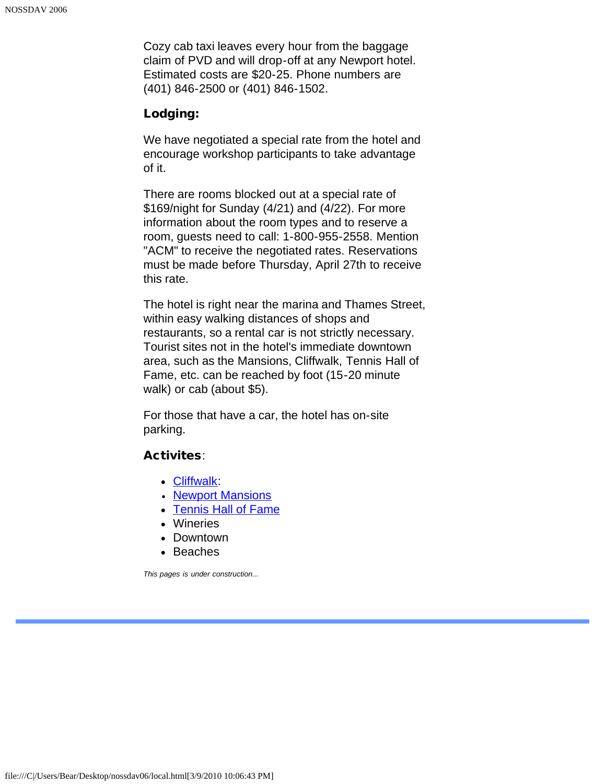Cozy cab taxi leaves every hour from the baggage claim of PVD and will drop-off at any Newport hotel. Estimated costs are \$20-25. Phone numbers are (401) 846-2500 or (401) 846-1502.

#### Lodging:

We have negotiated a special rate from the hotel and encourage workshop participants to take advantage of it.

There are rooms blocked out at a special rate of \$169/night for Sunday (4/21) and (4/22). For more information about the room types and to reserve a room, guests need to call: 1-800-955-2558. Mention "ACM" to receive the negotiated rates. Reservations must be made before Thursday, April 27th to receive this rate.

The hotel is right near the marina and Thames Street, within easy walking distances of shops and restaurants, so a rental car is not strictly necessary. Tourist sites not in the hotel's immediate downtown area, such as the Mansions, Cliffwalk, Tennis Hall of Fame, etc. can be reached by foot (15-20 minute walk) or cab (about \$5).

For those that have a car, the hotel has on-site parking.

#### Activites:

- [Cliffwalk](javascript:if(confirm():
- [Newport Mansions](javascript:if(confirm()
- [Tennis Hall of Fame](javascript:if(confirm()
- Wineries
- Downtown
- Beaches

*This pages is under construction...*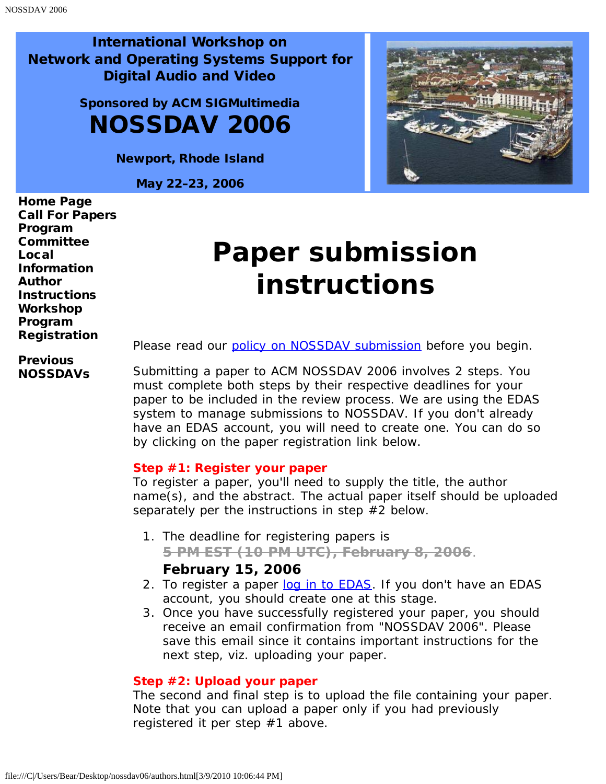> <span id="page-7-0"></span>Sponsored by ACM SIGMultimedia NOSSDAV 2006

> > Newport, Rhode Island

May 22–23, 2006



[Home Page](javascript:if(confirm() [Call For Papers](#page-1-0) [Program](#page-3-0) **[Committee](#page-3-0)** [Local](#page-5-0) [Information](#page-5-0) [Author](#page-7-0) **[Instructions](#page-7-0)** [Workshop](#page-9-0) [Program](#page-9-0) [Registration](#page-19-0)

# **Paper submission instructions**

**[Previous](javascript:if(confirm()** [NOSSDAVs](javascript:if(confirm() Please read our [policy on NOSSDAV submission](javascript:if(confirm() before you begin.

Submitting a paper to ACM NOSSDAV 2006 involves 2 steps. You must complete both steps by their respective deadlines for your paper to be included in the review process. We are using the EDAS system to manage submissions to NOSSDAV. If you don't already have an EDAS account, you will need to create one. You can do so by clicking on the paper registration link below.

#### **Step #1: Register your paper**

To register a paper, you'll need to supply the title, the author name(s), and the abstract. The actual paper itself should be uploaded separately per the instructions in step #2 below.

1. The deadline for registering papers is

**5 PM EST (10 PM UTC), February 8, 2006**.

#### **February 15, 2006**

- 2. To register a paper [log in to EDAS](javascript:if(confirm(). If you don't have an EDAS account, you should create one at this stage.
- 3. Once you have successfully registered your paper, you should receive an email confirmation from "NOSSDAV 2006". Please save this email since it contains important instructions for the next step, viz. uploading your paper.

#### **Step #2: Upload your paper**

The second and final step is to upload the file containing your paper. Note that you can upload a paper only if you had previously registered it per step #1 above.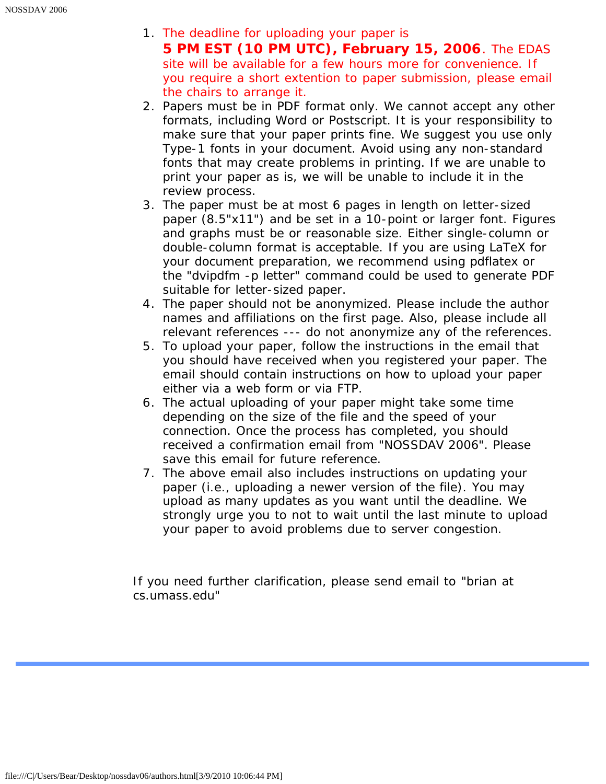- 1. The deadline for uploading your paper is **5 PM EST (10 PM UTC), February 15, 2006**. The EDAS site will be available for a few hours more for convenience. If you require a short extention to paper submission, please email the chairs to arrange it.
- 2. Papers must be in PDF format only. We cannot accept any other formats, including Word or Postscript. It is your responsibility to make sure that your paper prints fine. We suggest you use only Type-1 fonts in your document. Avoid using any non-standard fonts that may create problems in printing. If we are unable to print your paper as is, we will be unable to include it in the review process.
- 3. The paper must be at most 6 pages in length on letter-sized paper (8.5"x11") and be set in a 10-point or larger font. Figures and graphs must be or reasonable size. Either single-column or double-column format is acceptable. If you are using LaTeX for your document preparation, we recommend using pdflatex or the "dvipdfm -p letter" command could be used to generate PDF suitable for letter-sized paper.
- 4. The paper should not be anonymized. Please include the author names and affiliations on the first page. Also, please include all relevant references --- do not anonymize any of the references.
- 5. To upload your paper, follow the instructions in the email that you should have received when you registered your paper. The email should contain instructions on how to upload your paper either via a web form or via FTP.
- 6. The actual uploading of your paper might take some time depending on the size of the file and the speed of your connection. Once the process has completed, you should received a confirmation email from "NOSSDAV 2006". Please save this email for future reference.
- 7. The above email also includes instructions on updating your paper (i.e., uploading a newer version of the file). You may upload as many updates as you want until the deadline. We strongly urge you to not to wait until the last minute to upload your paper to avoid problems due to server congestion.

If you need further clarification, please send email to "brian at cs.umass.edu"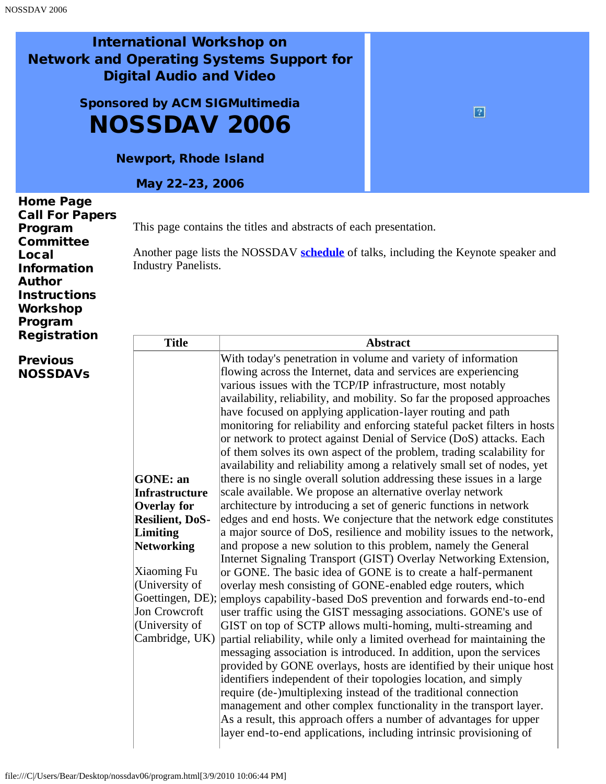<span id="page-9-0"></span>Sponsored by ACM SIGMultimedia NOSSDAV 2006

Newport, Rhode Island

May 22–23, 2006

| <b>Home Page</b><br><b>Call For Papers</b><br>Program<br><b>Committee</b><br>Local<br><b>Information</b><br><b>Author</b><br><b>Instructions</b><br>Workshop<br>Program | <b>Industry Panelists.</b> | This page contains the titles and abstracts of each presentation.<br>Another page lists the NOSSDAV schedule of talks, including the Keynote speaker and |
|-------------------------------------------------------------------------------------------------------------------------------------------------------------------------|----------------------------|----------------------------------------------------------------------------------------------------------------------------------------------------------|
| <b>Registration</b>                                                                                                                                                     | <b>Title</b>               | <b>Abstract</b>                                                                                                                                          |
| .                                                                                                                                                                       |                            | With today's ponetration in volume and veriety of information                                                                                            |

**[Previous](javascript:if(confirm()** [NOSSDAVs](javascript:if(confirm()

| With today's penetration in volume and variety of information                                                                            |  |
|------------------------------------------------------------------------------------------------------------------------------------------|--|
| flowing across the Internet, data and services are experiencing                                                                          |  |
| various issues with the TCP/IP infrastructure, most notably                                                                              |  |
| availability, reliability, and mobility. So far the proposed approaches                                                                  |  |
| have focused on applying application-layer routing and path                                                                              |  |
| monitoring for reliability and enforcing stateful packet filters in hosts                                                                |  |
| or network to protect against Denial of Service (DoS) attacks. Each                                                                      |  |
| of them solves its own aspect of the problem, trading scalability for                                                                    |  |
| availability and reliability among a relatively small set of nodes, yet                                                                  |  |
| there is no single overall solution addressing these issues in a large<br>GONE: an                                                       |  |
| scale available. We propose an alternative overlay network<br><b>Infrastructure</b>                                                      |  |
| architecture by introducing a set of generic functions in network<br><b>Overlay</b> for                                                  |  |
| edges and end hosts. We conjecture that the network edge constitutes<br><b>Resilient, DoS-</b>                                           |  |
| a major source of DoS, resilience and mobility issues to the network,<br>Limiting                                                        |  |
| and propose a new solution to this problem, namely the General<br>Networking                                                             |  |
| Internet Signaling Transport (GIST) Overlay Networking Extension,                                                                        |  |
| Xiaoming Fu<br>or GONE. The basic idea of GONE is to create a half-permanent                                                             |  |
| (University of<br>overlay mesh consisting of GONE-enabled edge routers, which                                                            |  |
| Goettingen, DE);<br>employs capability-based DoS prevention and forwards end-to-end                                                      |  |
| Jon Crowcroft<br>user traffic using the GIST messaging associations. GONE's use of                                                       |  |
| (University of<br>GIST on top of SCTP allows multi-homing, multi-streaming and                                                           |  |
| Cambridge, UK)<br>partial reliability, while only a limited overhead for maintaining the                                                 |  |
| messaging association is introduced. In addition, upon the services                                                                      |  |
| provided by GONE overlays, hosts are identified by their unique host                                                                     |  |
| identifiers independent of their topologies location, and simply                                                                         |  |
| require (de-)multiplexing instead of the traditional connection                                                                          |  |
| management and other complex functionality in the transport layer.                                                                       |  |
| As a result, this approach offers a number of advantages for upper<br>layer end-to-end applications, including intrinsic provisioning of |  |
|                                                                                                                                          |  |

 $\boxed{2}$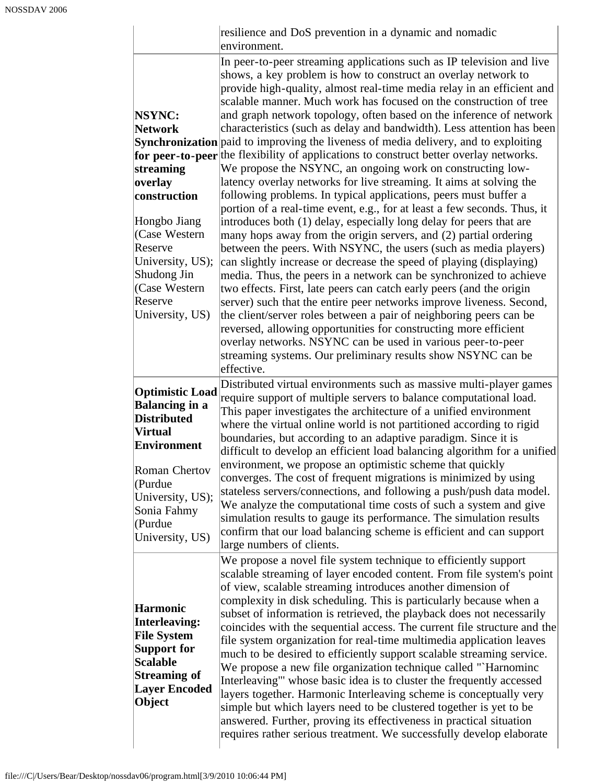|                                                                                                                                                                                                            | resilience and DoS prevention in a dynamic and nomadic<br>environment.                                                                                                                                                                                                                                                                                                                                                                                                                                                                                                                                                                                                                                                                                                                                                                                                                                                                                                                                                                                                                                                                                                                                                                                                                                                                                                                                                                                                                                                                                                                                                                                                                                            |
|------------------------------------------------------------------------------------------------------------------------------------------------------------------------------------------------------------|-------------------------------------------------------------------------------------------------------------------------------------------------------------------------------------------------------------------------------------------------------------------------------------------------------------------------------------------------------------------------------------------------------------------------------------------------------------------------------------------------------------------------------------------------------------------------------------------------------------------------------------------------------------------------------------------------------------------------------------------------------------------------------------------------------------------------------------------------------------------------------------------------------------------------------------------------------------------------------------------------------------------------------------------------------------------------------------------------------------------------------------------------------------------------------------------------------------------------------------------------------------------------------------------------------------------------------------------------------------------------------------------------------------------------------------------------------------------------------------------------------------------------------------------------------------------------------------------------------------------------------------------------------------------------------------------------------------------|
| NSYNC:<br><b>Network</b><br>streaming<br>overlay<br>construction<br>Hongbo Jiang<br>(Case Western<br>Reserve<br>University, US);<br>Shudong Jin<br>(Case Western<br>Reserve<br>University, US)             | In peer-to-peer streaming applications such as IP television and live<br>shows, a key problem is how to construct an overlay network to<br>provide high-quality, almost real-time media relay in an efficient and<br>scalable manner. Much work has focused on the construction of tree<br>and graph network topology, often based on the inference of network<br>characteristics (such as delay and bandwidth). Less attention has been<br>Synchronization paid to improving the liveness of media delivery, and to exploiting<br>for peer-to-peer the flexibility of applications to construct better overlay networks.<br>We propose the NSYNC, an ongoing work on constructing low-<br>latency overlay networks for live streaming. It aims at solving the<br>following problems. In typical applications, peers must buffer a<br>portion of a real-time event, e.g., for at least a few seconds. Thus, it<br>introduces both (1) delay, especially long delay for peers that are<br>many hops away from the origin servers, and (2) partial ordering<br>between the peers. With NSYNC, the users (such as media players)<br>can slightly increase or decrease the speed of playing (displaying)<br>media. Thus, the peers in a network can be synchronized to achieve<br>two effects. First, late peers can catch early peers (and the origin<br>server) such that the entire peer networks improve liveness. Second,<br>the client/server roles between a pair of neighboring peers can be<br>reversed, allowing opportunities for constructing more efficient<br>overlay networks. NSYNC can be used in various peer-to-peer<br>streaming systems. Our preliminary results show NSYNC can be<br>effective. |
| <b>Optimistic Load</b><br><b>Balancing in a</b><br><b>Distributed</b><br><b>Virtual</b><br><b>Environment</b><br>Roman Chertov<br>(Purdue<br>University, US);<br>Sonia Fahmy<br>(Purdue<br>University, US) | Distributed virtual environments such as massive multi-player games<br>require support of multiple servers to balance computational load.<br>This paper investigates the architecture of a unified environment<br>where the virtual online world is not partitioned according to rigid<br>boundaries, but according to an adaptive paradigm. Since it is<br>difficult to develop an efficient load balancing algorithm for a unified<br>environment, we propose an optimistic scheme that quickly<br>converges. The cost of frequent migrations is minimized by using<br>stateless servers/connections, and following a push/push data model.<br>We analyze the computational time costs of such a system and give<br>simulation results to gauge its performance. The simulation results<br>confirm that our load balancing scheme is efficient and can support<br>large numbers of clients.                                                                                                                                                                                                                                                                                                                                                                                                                                                                                                                                                                                                                                                                                                                                                                                                                     |
| <b>Harmonic</b><br><b>Interleaving:</b><br><b>File System</b><br><b>Support for</b><br><b>Scalable</b><br><b>Streaming of</b><br><b>Layer Encoded</b><br>Object                                            | We propose a novel file system technique to efficiently support<br>scalable streaming of layer encoded content. From file system's point<br>of view, scalable streaming introduces another dimension of<br>complexity in disk scheduling. This is particularly because when a<br>subset of information is retrieved, the playback does not necessarily<br>coincides with the sequential access. The current file structure and the<br>file system organization for real-time multimedia application leaves<br>much to be desired to efficiently support scalable streaming service.<br>We propose a new file organization technique called "`Harnominc<br>Interleaving" whose basic idea is to cluster the frequently accessed<br>layers together. Harmonic Interleaving scheme is conceptually very<br>simple but which layers need to be clustered together is yet to be<br>answered. Further, proving its effectiveness in practical situation<br>requires rather serious treatment. We successfully develop elaborate                                                                                                                                                                                                                                                                                                                                                                                                                                                                                                                                                                                                                                                                                         |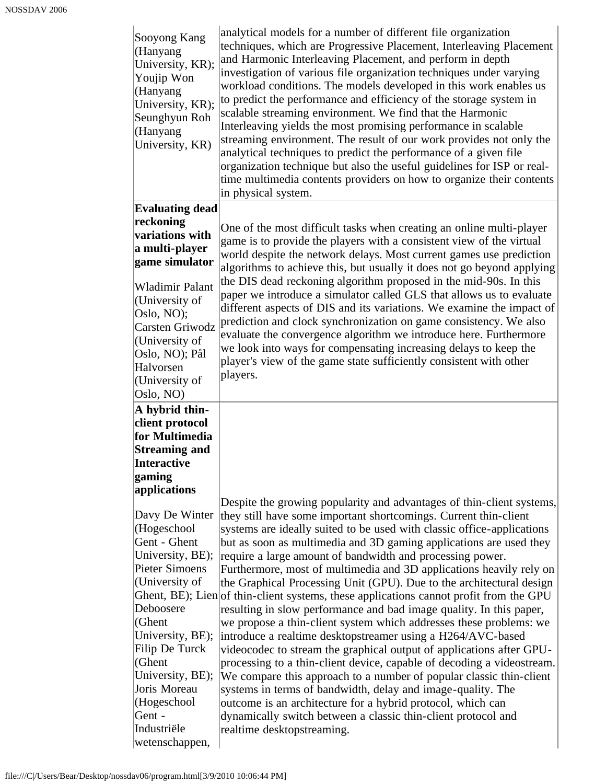| Sooyong Kang<br>(Hanyang<br>University, KR);<br>Youjip Won<br>(Hanyang<br>University, KR);<br>Seunghyun Roh<br>(Hanyang<br>University, KR)                | analytical models for a number of different file organization<br>techniques, which are Progressive Placement, Interleaving Placement<br>and Harmonic Interleaving Placement, and perform in depth<br>investigation of various file organization techniques under varying<br>workload conditions. The models developed in this work enables us<br>to predict the performance and efficiency of the storage system in<br>scalable streaming environment. We find that the Harmonic<br>Interleaving yields the most promising performance in scalable<br>streaming environment. The result of our work provides not only the<br>analytical techniques to predict the performance of a given file<br>organization technique but also the useful guidelines for ISP or real-<br>time multimedia contents providers on how to organize their contents<br>in physical system. |
|-----------------------------------------------------------------------------------------------------------------------------------------------------------|------------------------------------------------------------------------------------------------------------------------------------------------------------------------------------------------------------------------------------------------------------------------------------------------------------------------------------------------------------------------------------------------------------------------------------------------------------------------------------------------------------------------------------------------------------------------------------------------------------------------------------------------------------------------------------------------------------------------------------------------------------------------------------------------------------------------------------------------------------------------|
| <b>Evaluating dead</b>                                                                                                                                    |                                                                                                                                                                                                                                                                                                                                                                                                                                                                                                                                                                                                                                                                                                                                                                                                                                                                        |
| reckoning<br>variations with<br>a multi-player<br>game simulator                                                                                          | One of the most difficult tasks when creating an online multi-player<br>game is to provide the players with a consistent view of the virtual<br>world despite the network delays. Most current games use prediction<br>algorithms to achieve this, but usually it does not go beyond applying                                                                                                                                                                                                                                                                                                                                                                                                                                                                                                                                                                          |
| <b>Wladimir Palant</b><br>(University of<br>Oslo, NO);<br>Carsten Griwodz<br>(University of<br>Oslo, NO); Pål<br>Halvorsen<br>(University of<br>Oslo, NO) | the DIS dead reckoning algorithm proposed in the mid-90s. In this<br>paper we introduce a simulator called GLS that allows us to evaluate<br>different aspects of DIS and its variations. We examine the impact of<br>prediction and clock synchronization on game consistency. We also<br>evaluate the convergence algorithm we introduce here. Furthermore<br>we look into ways for compensating increasing delays to keep the<br>player's view of the game state sufficiently consistent with other<br>players.                                                                                                                                                                                                                                                                                                                                                     |
| $\bf{A}$ hybrid thin-                                                                                                                                     |                                                                                                                                                                                                                                                                                                                                                                                                                                                                                                                                                                                                                                                                                                                                                                                                                                                                        |
| client protocol                                                                                                                                           |                                                                                                                                                                                                                                                                                                                                                                                                                                                                                                                                                                                                                                                                                                                                                                                                                                                                        |
| for Multimedia                                                                                                                                            |                                                                                                                                                                                                                                                                                                                                                                                                                                                                                                                                                                                                                                                                                                                                                                                                                                                                        |
| <b>Streaming and</b>                                                                                                                                      |                                                                                                                                                                                                                                                                                                                                                                                                                                                                                                                                                                                                                                                                                                                                                                                                                                                                        |
| Interactive                                                                                                                                               |                                                                                                                                                                                                                                                                                                                                                                                                                                                                                                                                                                                                                                                                                                                                                                                                                                                                        |
| gaming                                                                                                                                                    |                                                                                                                                                                                                                                                                                                                                                                                                                                                                                                                                                                                                                                                                                                                                                                                                                                                                        |
| applications                                                                                                                                              |                                                                                                                                                                                                                                                                                                                                                                                                                                                                                                                                                                                                                                                                                                                                                                                                                                                                        |
|                                                                                                                                                           | Despite the growing popularity and advantages of thin-client systems,                                                                                                                                                                                                                                                                                                                                                                                                                                                                                                                                                                                                                                                                                                                                                                                                  |
| Davy De Winter                                                                                                                                            | they still have some important shortcomings. Current thin-client                                                                                                                                                                                                                                                                                                                                                                                                                                                                                                                                                                                                                                                                                                                                                                                                       |
| (Hogeschool<br>Gent - Ghent                                                                                                                               | systems are ideally suited to be used with classic office-applications                                                                                                                                                                                                                                                                                                                                                                                                                                                                                                                                                                                                                                                                                                                                                                                                 |
| University, BE);                                                                                                                                          | but as soon as multimedia and 3D gaming applications are used they<br>require a large amount of bandwidth and processing power.                                                                                                                                                                                                                                                                                                                                                                                                                                                                                                                                                                                                                                                                                                                                        |
| Pieter Simoens                                                                                                                                            | Furthermore, most of multimedia and 3D applications heavily rely on                                                                                                                                                                                                                                                                                                                                                                                                                                                                                                                                                                                                                                                                                                                                                                                                    |
| $ $ (University of                                                                                                                                        | the Graphical Processing Unit (GPU). Due to the architectural design                                                                                                                                                                                                                                                                                                                                                                                                                                                                                                                                                                                                                                                                                                                                                                                                   |
|                                                                                                                                                           | Ghent, BE); Lien of thin-client systems, these applications cannot profit from the GPU                                                                                                                                                                                                                                                                                                                                                                                                                                                                                                                                                                                                                                                                                                                                                                                 |
| Deboosere                                                                                                                                                 | resulting in slow performance and bad image quality. In this paper,                                                                                                                                                                                                                                                                                                                                                                                                                                                                                                                                                                                                                                                                                                                                                                                                    |
| $ $ (Ghent                                                                                                                                                | we propose a thin-client system which addresses these problems: we                                                                                                                                                                                                                                                                                                                                                                                                                                                                                                                                                                                                                                                                                                                                                                                                     |
| University, BE);                                                                                                                                          | introduce a realtime desktopstreamer using a H264/AVC-based                                                                                                                                                                                                                                                                                                                                                                                                                                                                                                                                                                                                                                                                                                                                                                                                            |
| Filip De Turck                                                                                                                                            | videocodec to stream the graphical output of applications after GPU-                                                                                                                                                                                                                                                                                                                                                                                                                                                                                                                                                                                                                                                                                                                                                                                                   |
| $ $ (Ghent                                                                                                                                                | processing to a thin-client device, capable of decoding a videostream.                                                                                                                                                                                                                                                                                                                                                                                                                                                                                                                                                                                                                                                                                                                                                                                                 |
| University, BE);                                                                                                                                          | We compare this approach to a number of popular classic thin-client                                                                                                                                                                                                                                                                                                                                                                                                                                                                                                                                                                                                                                                                                                                                                                                                    |
| Joris Moreau                                                                                                                                              | systems in terms of bandwidth, delay and image-quality. The                                                                                                                                                                                                                                                                                                                                                                                                                                                                                                                                                                                                                                                                                                                                                                                                            |
| (Hogeschool                                                                                                                                               | outcome is an architecture for a hybrid protocol, which can                                                                                                                                                                                                                                                                                                                                                                                                                                                                                                                                                                                                                                                                                                                                                                                                            |
| Gent -                                                                                                                                                    | dynamically switch between a classic thin-client protocol and                                                                                                                                                                                                                                                                                                                                                                                                                                                                                                                                                                                                                                                                                                                                                                                                          |
| Industriële<br>wetenschappen,                                                                                                                             | realtime desktopstreaming.                                                                                                                                                                                                                                                                                                                                                                                                                                                                                                                                                                                                                                                                                                                                                                                                                                             |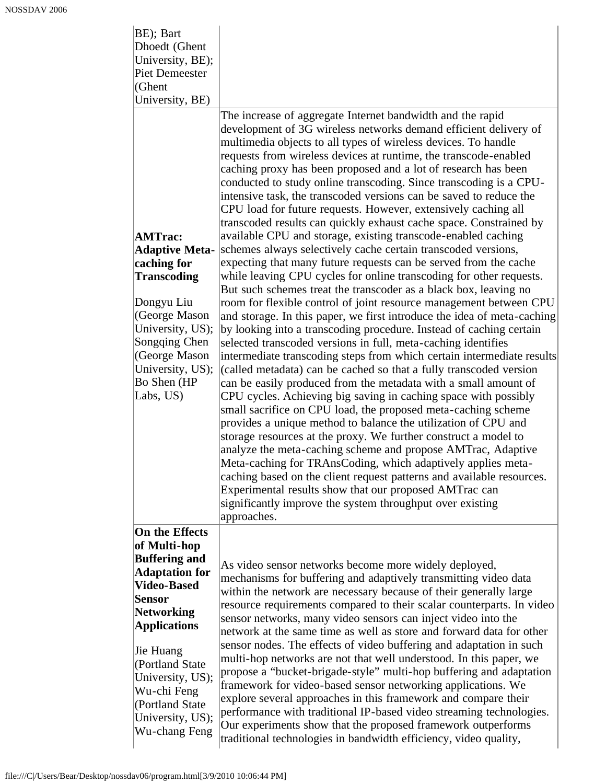| BE); Bart<br>Dhoedt (Ghent<br>University, BE);<br><b>Piet Demeester</b><br>(Ghent<br>University, BE)                                                                                                                                                                                    |                                                                                                                                                                                                                                                                                                                                                                                                                                                                                                                                                                                                                                                                                                                                                                                                                                                                                                                                                                                                                                                                                                                                                                                                                                                                                                                                                                                                                                                                                                                                                                                                                                                                                                                                                                                                                                                                                                                                                                                                                                                                                                                 |
|-----------------------------------------------------------------------------------------------------------------------------------------------------------------------------------------------------------------------------------------------------------------------------------------|-----------------------------------------------------------------------------------------------------------------------------------------------------------------------------------------------------------------------------------------------------------------------------------------------------------------------------------------------------------------------------------------------------------------------------------------------------------------------------------------------------------------------------------------------------------------------------------------------------------------------------------------------------------------------------------------------------------------------------------------------------------------------------------------------------------------------------------------------------------------------------------------------------------------------------------------------------------------------------------------------------------------------------------------------------------------------------------------------------------------------------------------------------------------------------------------------------------------------------------------------------------------------------------------------------------------------------------------------------------------------------------------------------------------------------------------------------------------------------------------------------------------------------------------------------------------------------------------------------------------------------------------------------------------------------------------------------------------------------------------------------------------------------------------------------------------------------------------------------------------------------------------------------------------------------------------------------------------------------------------------------------------------------------------------------------------------------------------------------------------|
| <b>AMTrac:</b><br><b>Adaptive Meta-</b><br>caching for<br><b>Transcoding</b><br>Dongyu Liu<br>(George Mason<br>University, US);<br>Songqing Chen<br>(George Mason<br>University, US);<br>Bo Shen (HP<br>Labs, US)                                                                       | The increase of aggregate Internet bandwidth and the rapid<br>development of 3G wireless networks demand efficient delivery of<br>multimedia objects to all types of wireless devices. To handle<br>requests from wireless devices at runtime, the transcode-enabled<br>caching proxy has been proposed and a lot of research has been<br>conducted to study online transcoding. Since transcoding is a CPU-<br>intensive task, the transcoded versions can be saved to reduce the<br>CPU load for future requests. However, extensively caching all<br>transcoded results can quickly exhaust cache space. Constrained by<br>available CPU and storage, existing transcode-enabled caching<br>schemes always selectively cache certain transcoded versions,<br>expecting that many future requests can be served from the cache<br>while leaving CPU cycles for online transcoding for other requests.<br>But such schemes treat the transcoder as a black box, leaving no<br>room for flexible control of joint resource management between CPU<br>and storage. In this paper, we first introduce the idea of meta-caching<br>by looking into a transcoding procedure. Instead of caching certain<br>selected transcoded versions in full, meta-caching identifies<br>intermediate transcoding steps from which certain intermediate results<br>(called metadata) can be cached so that a fully transcoded version<br>can be easily produced from the metadata with a small amount of<br>CPU cycles. Achieving big saving in caching space with possibly<br>small sacrifice on CPU load, the proposed meta-caching scheme<br>provides a unique method to balance the utilization of CPU and<br>storage resources at the proxy. We further construct a model to<br>analyze the meta-caching scheme and propose AMTrac, Adaptive<br>Meta-caching for TRAnsCoding, which adaptively applies meta-<br>caching based on the client request patterns and available resources.<br>Experimental results show that our proposed AMTrac can<br>significantly improve the system throughput over existing<br>approaches. |
| On the Effects<br>of Multi-hop<br><b>Buffering and</b><br><b>Adaptation for</b><br><b>Video-Based</b><br>Sensor<br><b>Networking</b><br><b>Applications</b><br>Jie Huang<br>(Portland State<br>University, US);<br>Wu-chi Feng<br>(Portland State)<br>University, US);<br>Wu-chang Feng | As video sensor networks become more widely deployed,<br>mechanisms for buffering and adaptively transmitting video data<br>within the network are necessary because of their generally large<br>resource requirements compared to their scalar counterparts. In video<br>sensor networks, many video sensors can inject video into the<br>network at the same time as well as store and forward data for other<br>sensor nodes. The effects of video buffering and adaptation in such<br>multi-hop networks are not that well understood. In this paper, we<br>propose a "bucket-brigade-style" multi-hop buffering and adaptation<br>framework for video-based sensor networking applications. We<br>explore several approaches in this framework and compare their<br>performance with traditional IP-based video streaming technologies.<br>Our experiments show that the proposed framework outperforms<br>traditional technologies in bandwidth efficiency, video quality,                                                                                                                                                                                                                                                                                                                                                                                                                                                                                                                                                                                                                                                                                                                                                                                                                                                                                                                                                                                                                                                                                                                                |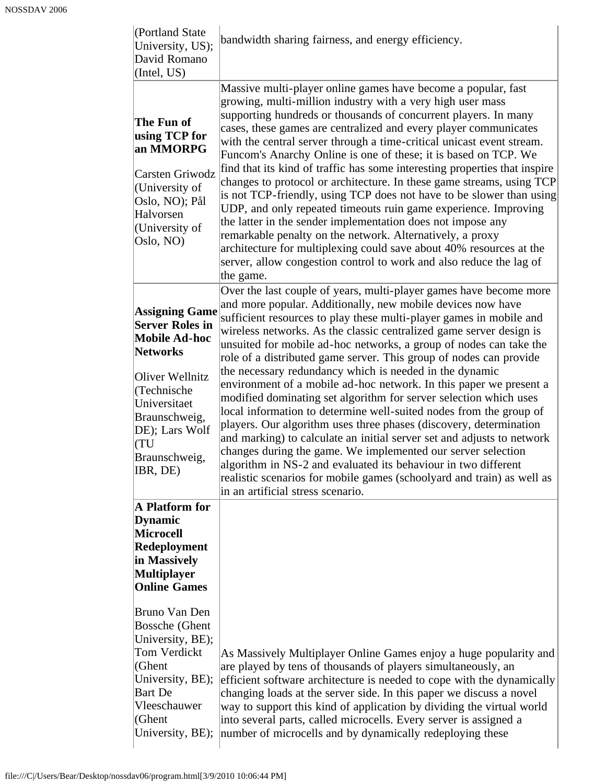| (Portland State)<br>University, US);<br>David Romano<br>(Intel, US)                                                                                                                                                 | bandwidth sharing fairness, and energy efficiency.                                                                                                                                                                                                                                                                                                                                                                                                                                                                                                                                                                                                                                                                                                                                                                                                                                                                                                                                                                                                                                                       |
|---------------------------------------------------------------------------------------------------------------------------------------------------------------------------------------------------------------------|----------------------------------------------------------------------------------------------------------------------------------------------------------------------------------------------------------------------------------------------------------------------------------------------------------------------------------------------------------------------------------------------------------------------------------------------------------------------------------------------------------------------------------------------------------------------------------------------------------------------------------------------------------------------------------------------------------------------------------------------------------------------------------------------------------------------------------------------------------------------------------------------------------------------------------------------------------------------------------------------------------------------------------------------------------------------------------------------------------|
| The Fun of<br>using TCP for<br>an MMORPG<br>Carsten Griwodz<br>(University of<br>Oslo, NO); Pål<br>Halvorsen<br>(University of<br>Oslo, NO)                                                                         | Massive multi-player online games have become a popular, fast<br>growing, multi-million industry with a very high user mass<br>supporting hundreds or thousands of concurrent players. In many<br>cases, these games are centralized and every player communicates<br>with the central server through a time-critical unicast event stream.<br>Funcom's Anarchy Online is one of these; it is based on TCP. We<br>find that its kind of traffic has some interesting properties that inspire<br>changes to protocol or architecture. In these game streams, using TCP<br>is not TCP-friendly, using TCP does not have to be slower than using<br>UDP, and only repeated timeouts ruin game experience. Improving<br>the latter in the sender implementation does not impose any<br>remarkable penalty on the network. Alternatively, a proxy<br>architecture for multiplexing could save about 40% resources at the<br>server, allow congestion control to work and also reduce the lag of<br>the game.                                                                                                  |
| <b>Assigning Game</b><br><b>Server Roles in</b><br><b>Mobile Ad-hoc</b><br><b>Networks</b><br>Oliver Wellnitz<br>(Technische<br>Universitaet<br>Braunschweig,<br>DE); Lars Wolf<br>(TU<br>Braunschweig,<br>IBR, DE) | Over the last couple of years, multi-player games have become more<br>and more popular. Additionally, new mobile devices now have<br>sufficient resources to play these multi-player games in mobile and<br>wireless networks. As the classic centralized game server design is<br>unsuited for mobile ad-hoc networks, a group of nodes can take the<br>role of a distributed game server. This group of nodes can provide<br>the necessary redundancy which is needed in the dynamic<br>environment of a mobile ad-hoc network. In this paper we present a<br>modified dominating set algorithm for server selection which uses<br>local information to determine well-suited nodes from the group of<br>players. Our algorithm uses three phases (discovery, determination<br>and marking) to calculate an initial server set and adjusts to network<br>changes during the game. We implemented our server selection<br>algorithm in NS-2 and evaluated its behaviour in two different<br>realistic scenarios for mobile games (schoolyard and train) as well as<br>in an artificial stress scenario. |
| A Platform for<br><b>Dynamic</b><br><b>Microcell</b><br>Redeployment<br>in Massively<br><b>Multiplayer</b><br><b>Online Games</b>                                                                                   |                                                                                                                                                                                                                                                                                                                                                                                                                                                                                                                                                                                                                                                                                                                                                                                                                                                                                                                                                                                                                                                                                                          |
| Bruno Van Den<br><b>Bossche</b> (Ghent<br>University, BE);<br>Tom Verdickt<br>(Ghent<br>University, BE);<br><b>Bart</b> De<br>Vleeschauwer<br>(Ghent<br>University, BE);                                            | As Massively Multiplayer Online Games enjoy a huge popularity and<br>are played by tens of thousands of players simultaneously, an<br>efficient software architecture is needed to cope with the dynamically<br>changing loads at the server side. In this paper we discuss a novel<br>way to support this kind of application by dividing the virtual world<br>into several parts, called microcells. Every server is assigned a<br>number of microcells and by dynamically redeploying these                                                                                                                                                                                                                                                                                                                                                                                                                                                                                                                                                                                                           |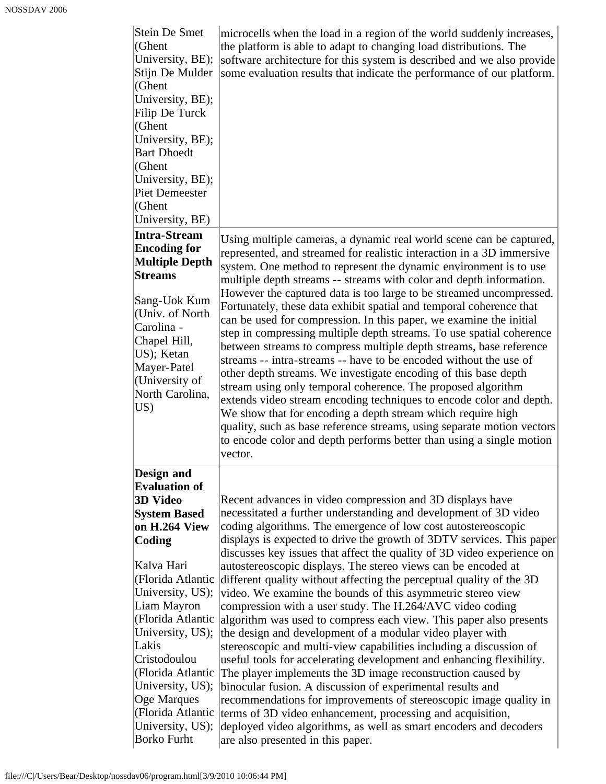| Stein De Smet<br>(Ghent<br>University, BE);<br>Stijn De Mulder<br>(Ghent<br>University, BE);<br>Filip De Turck<br>(Ghent<br>University, BE);<br><b>Bart Dhoedt</b><br>(Ghent<br>University, BE);<br><b>Piet Demeester</b><br>(Ghent<br>University, BE)                                                                                                                 | microcells when the load in a region of the world suddenly increases,<br>the platform is able to adapt to changing load distributions. The<br>software architecture for this system is described and we also provide<br>some evaluation results that indicate the performance of our platform.                                                                                                                                                                                                                                                                                                                                                                                                                                                                                                                                                                                                                                                                                                                                                                                                                                                                                                                                                                                    |
|------------------------------------------------------------------------------------------------------------------------------------------------------------------------------------------------------------------------------------------------------------------------------------------------------------------------------------------------------------------------|-----------------------------------------------------------------------------------------------------------------------------------------------------------------------------------------------------------------------------------------------------------------------------------------------------------------------------------------------------------------------------------------------------------------------------------------------------------------------------------------------------------------------------------------------------------------------------------------------------------------------------------------------------------------------------------------------------------------------------------------------------------------------------------------------------------------------------------------------------------------------------------------------------------------------------------------------------------------------------------------------------------------------------------------------------------------------------------------------------------------------------------------------------------------------------------------------------------------------------------------------------------------------------------|
| <b>Intra-Stream</b><br><b>Encoding for</b><br><b>Multiple Depth</b><br><b>Streams</b><br>Sang-Uok Kum<br>(Univ. of North<br>Carolina -<br>Chapel Hill,<br>US); Ketan<br>Mayer-Patel<br>(University of<br>North Carolina,<br>US)                                                                                                                                        | Using multiple cameras, a dynamic real world scene can be captured,<br>represented, and streamed for realistic interaction in a 3D immersive<br>system. One method to represent the dynamic environment is to use<br>multiple depth streams -- streams with color and depth information.<br>However the captured data is too large to be streamed uncompressed.<br>Fortunately, these data exhibit spatial and temporal coherence that<br>can be used for compression. In this paper, we examine the initial<br>step in compressing multiple depth streams. To use spatial coherence<br>between streams to compress multiple depth streams, base reference<br>streams -- intra-streams -- have to be encoded without the use of<br>other depth streams. We investigate encoding of this base depth<br>stream using only temporal coherence. The proposed algorithm<br>extends video stream encoding techniques to encode color and depth.<br>We show that for encoding a depth stream which require high<br>quality, such as base reference streams, using separate motion vectors<br>to encode color and depth performs better than using a single motion<br>vector.                                                                                                             |
| Design and<br><b>Evaluation of</b><br><b>3D Video</b><br><b>System Based</b><br>on H.264 View<br>Coding<br>Kalva Hari<br>(Florida Atlantic<br>University, US);<br>Liam Mayron<br>(Florida Atlantic<br>University, US);<br>Lakis<br>Cristodoulou<br>(Florida Atlantic<br>University, US);<br>Oge Marques<br>(Florida Atlantic<br>University, US);<br><b>Borko Furht</b> | Recent advances in video compression and 3D displays have<br>necessitated a further understanding and development of 3D video<br>coding algorithms. The emergence of low cost autostereoscopic<br>displays is expected to drive the growth of 3DTV services. This paper<br>discusses key issues that affect the quality of 3D video experience on<br>autostereoscopic displays. The stereo views can be encoded at<br>different quality without affecting the perceptual quality of the 3D<br>video. We examine the bounds of this asymmetric stereo view<br>compression with a user study. The H.264/AVC video coding<br>algorithm was used to compress each view. This paper also presents<br>the design and development of a modular video player with<br>stereoscopic and multi-view capabilities including a discussion of<br>useful tools for accelerating development and enhancing flexibility.<br>The player implements the 3D image reconstruction caused by<br>binocular fusion. A discussion of experimental results and<br>recommendations for improvements of stereoscopic image quality in<br>terms of 3D video enhancement, processing and acquisition,<br>deployed video algorithms, as well as smart encoders and decoders<br>are also presented in this paper. |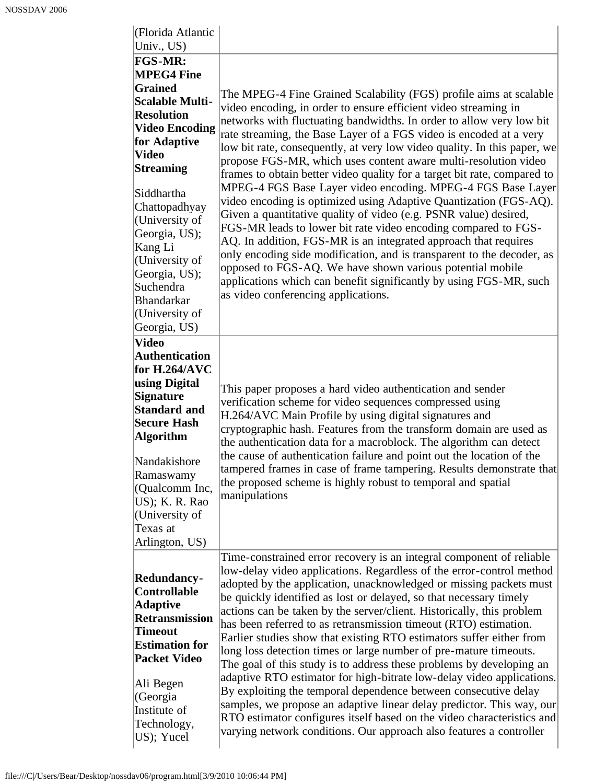| (Florida Atlantic<br>Univ., US)                                                                                                                                                                                                                                                                                                                                |                                                                                                                                                                                                                                                                                                                                                                                                                                                                                                                                                                                                                                                                                                                                                                                                                                                                                                                                                                                                                                                                                                                 |
|----------------------------------------------------------------------------------------------------------------------------------------------------------------------------------------------------------------------------------------------------------------------------------------------------------------------------------------------------------------|-----------------------------------------------------------------------------------------------------------------------------------------------------------------------------------------------------------------------------------------------------------------------------------------------------------------------------------------------------------------------------------------------------------------------------------------------------------------------------------------------------------------------------------------------------------------------------------------------------------------------------------------------------------------------------------------------------------------------------------------------------------------------------------------------------------------------------------------------------------------------------------------------------------------------------------------------------------------------------------------------------------------------------------------------------------------------------------------------------------------|
| FGS-MR:<br><b>MPEG4 Fine</b><br><b>Grained</b><br><b>Scalable Multi-</b><br><b>Resolution</b><br><b>Video Encoding</b><br>for Adaptive<br><b>Video</b><br><b>Streaming</b><br>Siddhartha<br>Chattopadhyay<br>(University of<br>Georgia, US);<br>Kang Li<br>(University of<br>Georgia, US);<br>Suchendra<br><b>Bhandarkar</b><br>(University of<br>Georgia, US) | The MPEG-4 Fine Grained Scalability (FGS) profile aims at scalable<br>video encoding, in order to ensure efficient video streaming in<br>networks with fluctuating bandwidths. In order to allow very low bit<br>rate streaming, the Base Layer of a FGS video is encoded at a very<br>low bit rate, consequently, at very low video quality. In this paper, we<br>propose FGS-MR, which uses content aware multi-resolution video<br>frames to obtain better video quality for a target bit rate, compared to<br>MPEG-4 FGS Base Layer video encoding. MPEG-4 FGS Base Layer<br>video encoding is optimized using Adaptive Quantization (FGS-AQ).<br>Given a quantitative quality of video (e.g. PSNR value) desired,<br>FGS-MR leads to lower bit rate video encoding compared to FGS-<br>AQ. In addition, FGS-MR is an integrated approach that requires<br>only encoding side modification, and is transparent to the decoder, as<br>opposed to FGS-AQ. We have shown various potential mobile<br>applications which can benefit significantly by using FGS-MR, such<br>as video conferencing applications. |
| <b>Video</b><br><b>Authentication</b><br>for $H.264/AVC$<br>using Digital<br><b>Signature</b><br><b>Standard and</b><br><b>Secure Hash</b><br><b>Algorithm</b><br>Nandakishore<br>Ramaswamy<br>(Qualcomm Inc,<br>US); K. R. Rao<br>(University of<br>Texas at<br>Arlington, US)                                                                                | This paper proposes a hard video authentication and sender<br>verification scheme for video sequences compressed using<br>H.264/AVC Main Profile by using digital signatures and<br>cryptographic hash. Features from the transform domain are used as<br>the authentication data for a macroblock. The algorithm can detect<br>the cause of authentication failure and point out the location of the<br>tampered frames in case of frame tampering. Results demonstrate that<br>the proposed scheme is highly robust to temporal and spatial<br>manipulations                                                                                                                                                                                                                                                                                                                                                                                                                                                                                                                                                  |
| Redundancy-<br><b>Controllable</b><br><b>Adaptive</b><br><b>Retransmission</b><br><b>Timeout</b><br><b>Estimation for</b><br><b>Packet Video</b><br>Ali Begen<br>(Georgia<br>Institute of<br>Technology,<br>US); Yucel                                                                                                                                         | Time-constrained error recovery is an integral component of reliable<br>low-delay video applications. Regardless of the error-control method<br>adopted by the application, unacknowledged or missing packets must<br>be quickly identified as lost or delayed, so that necessary timely<br>actions can be taken by the server/client. Historically, this problem<br>has been referred to as retransmission timeout (RTO) estimation.<br>Earlier studies show that existing RTO estimators suffer either from<br>long loss detection times or large number of pre-mature timeouts.<br>The goal of this study is to address these problems by developing an<br>adaptive RTO estimator for high-bitrate low-delay video applications.<br>By exploiting the temporal dependence between consecutive delay<br>samples, we propose an adaptive linear delay predictor. This way, our<br>RTO estimator configures itself based on the video characteristics and<br>varying network conditions. Our approach also features a controller                                                                                |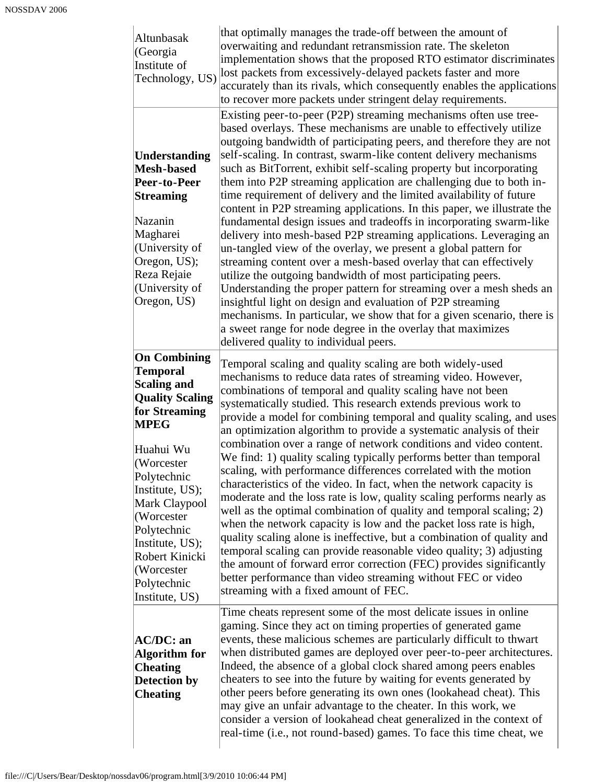| Altunbasak<br>(Georgia<br>Institute of<br>Technology, US)                                                                                                                                                                                                                                                               | that optimally manages the trade-off between the amount of<br>overwaiting and redundant retransmission rate. The skeleton<br>implementation shows that the proposed RTO estimator discriminates<br>lost packets from excessively-delayed packets faster and more<br>accurately than its rivals, which consequently enables the applications<br>to recover more packets under stringent delay requirements.                                                                                                                                                                                                                                                                                                                                                                                                                                                                                                                                                                                                                                                                                                                                                                                                                                                      |
|-------------------------------------------------------------------------------------------------------------------------------------------------------------------------------------------------------------------------------------------------------------------------------------------------------------------------|-----------------------------------------------------------------------------------------------------------------------------------------------------------------------------------------------------------------------------------------------------------------------------------------------------------------------------------------------------------------------------------------------------------------------------------------------------------------------------------------------------------------------------------------------------------------------------------------------------------------------------------------------------------------------------------------------------------------------------------------------------------------------------------------------------------------------------------------------------------------------------------------------------------------------------------------------------------------------------------------------------------------------------------------------------------------------------------------------------------------------------------------------------------------------------------------------------------------------------------------------------------------|
| Understanding<br><b>Mesh-based</b><br>Peer-to-Peer<br><b>Streaming</b><br>Nazanin<br>Magharei<br>(University of<br>Oregon, US);<br>Reza Rejaie<br>(University of<br>Oregon, US)                                                                                                                                         | Existing peer-to-peer (P2P) streaming mechanisms often use tree-<br>based overlays. These mechanisms are unable to effectively utilize<br>outgoing bandwidth of participating peers, and therefore they are not<br>self-scaling. In contrast, swarm-like content delivery mechanisms<br>such as BitTorrent, exhibit self-scaling property but incorporating<br>them into P2P streaming application are challenging due to both in-<br>time requirement of delivery and the limited availability of future<br>content in P2P streaming applications. In this paper, we illustrate the<br>fundamental design issues and tradeoffs in incorporating swarm-like<br>delivery into mesh-based P2P streaming applications. Leveraging an<br>un-tangled view of the overlay, we present a global pattern for<br>streaming content over a mesh-based overlay that can effectively<br>utilize the outgoing bandwidth of most participating peers.<br>Understanding the proper pattern for streaming over a mesh sheds an<br>insightful light on design and evaluation of P2P streaming<br>mechanisms. In particular, we show that for a given scenario, there is<br>a sweet range for node degree in the overlay that maximizes<br>delivered quality to individual peers. |
| <b>On Combining</b><br><b>Temporal</b><br><b>Scaling and</b><br><b>Quality Scaling</b><br>for Streaming<br><b>MPEG</b><br>Huahui Wu<br>(Worcester<br>Polytechnic<br>Institute, US);<br>Mark Claypool<br>(Worcester)<br>Polytechnic<br>Institute, US);<br>Robert Kinicki<br>(Worcester)<br>Polytechnic<br>Institute, US) | Temporal scaling and quality scaling are both widely-used<br>mechanisms to reduce data rates of streaming video. However,<br>combinations of temporal and quality scaling have not been<br>systematically studied. This research extends previous work to<br>provide a model for combining temporal and quality scaling, and uses<br>an optimization algorithm to provide a systematic analysis of their<br>combination over a range of network conditions and video content.<br>We find: 1) quality scaling typically performs better than temporal<br>scaling, with performance differences correlated with the motion<br>characteristics of the video. In fact, when the network capacity is<br>moderate and the loss rate is low, quality scaling performs nearly as<br>well as the optimal combination of quality and temporal scaling; 2)<br>when the network capacity is low and the packet loss rate is high,<br>quality scaling alone is ineffective, but a combination of quality and<br>temporal scaling can provide reasonable video quality; 3) adjusting<br>the amount of forward error correction (FEC) provides significantly<br>better performance than video streaming without FEC or video<br>streaming with a fixed amount of FEC.          |
| <b>AC/DC: an</b><br><b>Algorithm</b> for<br><b>Cheating</b><br>Detection by<br><b>Cheating</b>                                                                                                                                                                                                                          | Time cheats represent some of the most delicate issues in online<br>gaming. Since they act on timing properties of generated game<br>events, these malicious schemes are particularly difficult to thwart<br>when distributed games are deployed over peer-to-peer architectures.<br>Indeed, the absence of a global clock shared among peers enables<br>cheaters to see into the future by waiting for events generated by<br>other peers before generating its own ones (lookahead cheat). This<br>may give an unfair advantage to the cheater. In this work, we<br>consider a version of lookahead cheat generalized in the context of<br>real-time (i.e., not round-based) games. To face this time cheat, we                                                                                                                                                                                                                                                                                                                                                                                                                                                                                                                                               |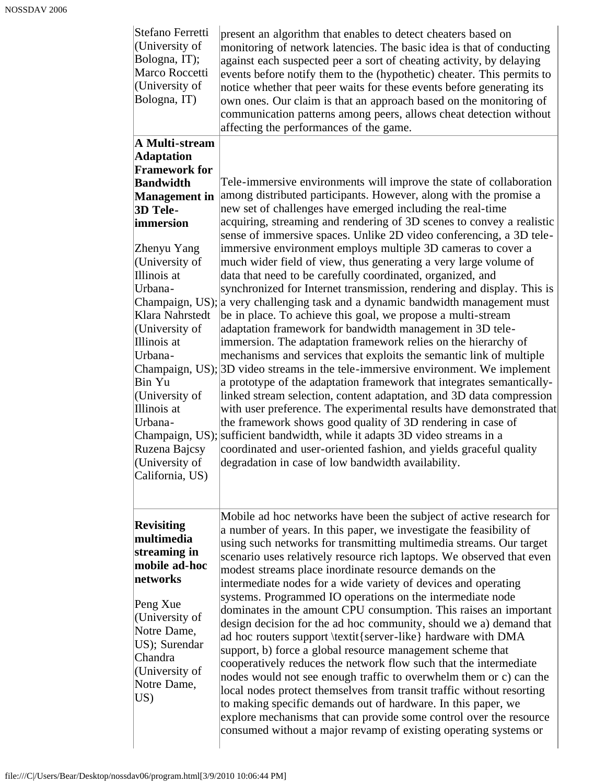| Stefano Ferretti<br>(University of<br>Bologna, IT);<br>Marco Roccetti<br>(University of<br>Bologna, IT)                                                                                                                                                                                                                                                                | present an algorithm that enables to detect cheaters based on<br>monitoring of network latencies. The basic idea is that of conducting<br>against each suspected peer a sort of cheating activity, by delaying<br>events before notify them to the (hypothetic) cheater. This permits to<br>notice whether that peer waits for these events before generating its<br>own ones. Our claim is that an approach based on the monitoring of<br>communication patterns among peers, allows cheat detection without<br>affecting the performances of the game.                                                                                                                                                                                                                                                                                                                                                                                                                                                                                                                                                                                                                                                                                                                                                                                                                                                                                                                                                                                                                            |
|------------------------------------------------------------------------------------------------------------------------------------------------------------------------------------------------------------------------------------------------------------------------------------------------------------------------------------------------------------------------|-------------------------------------------------------------------------------------------------------------------------------------------------------------------------------------------------------------------------------------------------------------------------------------------------------------------------------------------------------------------------------------------------------------------------------------------------------------------------------------------------------------------------------------------------------------------------------------------------------------------------------------------------------------------------------------------------------------------------------------------------------------------------------------------------------------------------------------------------------------------------------------------------------------------------------------------------------------------------------------------------------------------------------------------------------------------------------------------------------------------------------------------------------------------------------------------------------------------------------------------------------------------------------------------------------------------------------------------------------------------------------------------------------------------------------------------------------------------------------------------------------------------------------------------------------------------------------------|
| A Multi-stream<br><b>Adaptation</b><br><b>Framework for</b><br><b>Bandwidth</b><br><b>Management</b> in<br>3D Tele-<br>immersion<br>Zhenyu Yang<br>(University of<br>Illinois at<br>Urbana-<br>Klara Nahrstedt<br>(University of<br>Illinois at<br>Urbana-<br>Bin Yu<br>(University of<br>Illinois at<br>Urbana-<br>Ruzena Bajcsy<br>(University of<br>California, US) | Tele-immersive environments will improve the state of collaboration<br>among distributed participants. However, along with the promise a<br>new set of challenges have emerged including the real-time<br>acquiring, streaming and rendering of 3D scenes to convey a realistic<br>sense of immersive spaces. Unlike 2D video conferencing, a 3D tele-<br>immersive environment employs multiple 3D cameras to cover a<br>much wider field of view, thus generating a very large volume of<br>data that need to be carefully coordinated, organized, and<br>synchronized for Internet transmission, rendering and display. This is<br>Champaign, US); a very challenging task and a dynamic bandwidth management must<br>be in place. To achieve this goal, we propose a multi-stream<br>adaptation framework for bandwidth management in 3D tele-<br>immersion. The adaptation framework relies on the hierarchy of<br>mechanisms and services that exploits the semantic link of multiple<br>Champaign, US); 3D video streams in the tele-immersive environment. We implement<br>a prototype of the adaptation framework that integrates semantically-<br>linked stream selection, content adaptation, and 3D data compression<br>with user preference. The experimental results have demonstrated that<br>the framework shows good quality of 3D rendering in case of<br>Champaign, US); sufficient bandwidth, while it adapts 3D video streams in a<br>coordinated and user-oriented fashion, and yields graceful quality<br>degradation in case of low bandwidth availability. |
| <b>Revisiting</b><br>multimedia<br>streaming in<br>mobile ad-hoc<br>networks<br>Peng Xue<br>(University of<br>Notre Dame,<br>US); Surendar<br>Chandra<br>(University of<br>Notre Dame,<br>US)                                                                                                                                                                          | Mobile ad hoc networks have been the subject of active research for<br>a number of years. In this paper, we investigate the feasibility of<br>using such networks for transmitting multimedia streams. Our target<br>scenario uses relatively resource rich laptops. We observed that even<br>modest streams place inordinate resource demands on the<br>intermediate nodes for a wide variety of devices and operating<br>systems. Programmed IO operations on the intermediate node<br>dominates in the amount CPU consumption. This raises an important<br>design decision for the ad hoc community, should we a) demand that<br>ad hoc routers support \textit{server-like} hardware with DMA<br>support, b) force a global resource management scheme that<br>cooperatively reduces the network flow such that the intermediate<br>nodes would not see enough traffic to overwhelm them or c) can the<br>local nodes protect themselves from transit traffic without resorting<br>to making specific demands out of hardware. In this paper, we<br>explore mechanisms that can provide some control over the resource<br>consumed without a major revamp of existing operating systems or                                                                                                                                                                                                                                                                                                                                                                                      |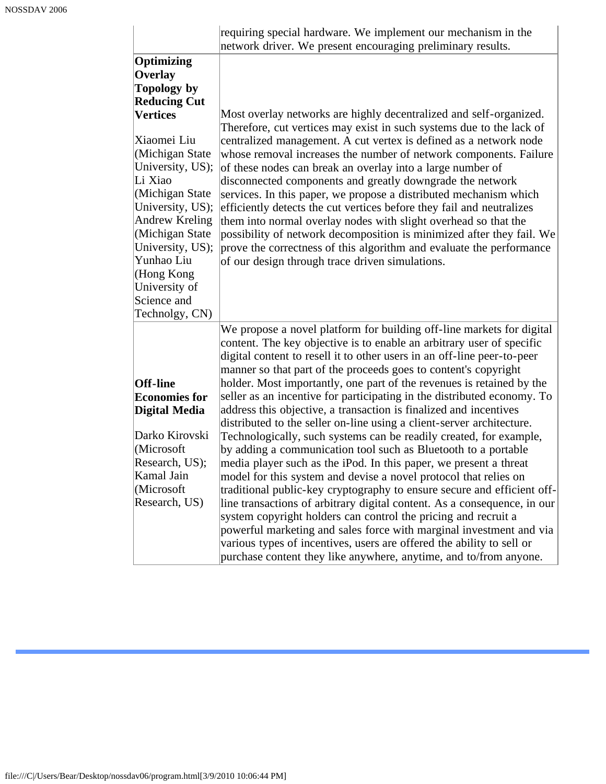|                                                                                                                                                                                                                                   | requiring special hardware. We implement our mechanism in the<br>network driver. We present encouraging preliminary results.                                                                                                                                                                                                                                                                                                                                                                                                                                                                                                                                                                                                                                   |  |  |  |  |
|-----------------------------------------------------------------------------------------------------------------------------------------------------------------------------------------------------------------------------------|----------------------------------------------------------------------------------------------------------------------------------------------------------------------------------------------------------------------------------------------------------------------------------------------------------------------------------------------------------------------------------------------------------------------------------------------------------------------------------------------------------------------------------------------------------------------------------------------------------------------------------------------------------------------------------------------------------------------------------------------------------------|--|--|--|--|
| Optimizing<br>Overlay                                                                                                                                                                                                             |                                                                                                                                                                                                                                                                                                                                                                                                                                                                                                                                                                                                                                                                                                                                                                |  |  |  |  |
| <b>Topology by</b>                                                                                                                                                                                                                |                                                                                                                                                                                                                                                                                                                                                                                                                                                                                                                                                                                                                                                                                                                                                                |  |  |  |  |
| <b>Reducing Cut</b>                                                                                                                                                                                                               |                                                                                                                                                                                                                                                                                                                                                                                                                                                                                                                                                                                                                                                                                                                                                                |  |  |  |  |
| <b>Vertices</b>                                                                                                                                                                                                                   | Most overlay networks are highly decentralized and self-organized.                                                                                                                                                                                                                                                                                                                                                                                                                                                                                                                                                                                                                                                                                             |  |  |  |  |
| Xiaomei Liu<br>(Michigan State<br>University, US);<br>Li Xiao<br>(Michigan State)<br>University, US);<br><b>Andrew Kreling</b><br>(Michigan State<br>University, US);<br>Yunhao Liu<br>(Hong Kong<br>University of<br>Science and | Therefore, cut vertices may exist in such systems due to the lack of<br>centralized management. A cut vertex is defined as a network node<br>whose removal increases the number of network components. Failure<br>of these nodes can break an overlay into a large number of<br>disconnected components and greatly downgrade the network<br>services. In this paper, we propose a distributed mechanism which<br>efficiently detects the cut vertices before they fail and neutralizes<br>them into normal overlay nodes with slight overhead so that the<br>possibility of network decomposition is minimized after they fail. We<br>prove the correctness of this algorithm and evaluate the performance<br>of our design through trace driven simulations. |  |  |  |  |
| Technolgy, CN)                                                                                                                                                                                                                    |                                                                                                                                                                                                                                                                                                                                                                                                                                                                                                                                                                                                                                                                                                                                                                |  |  |  |  |
| <b>Off-line</b><br><b>Economies for</b><br><b>Digital Media</b>                                                                                                                                                                   | We propose a novel platform for building off-line markets for digital<br>content. The key objective is to enable an arbitrary user of specific<br>digital content to resell it to other users in an off-line peer-to-peer<br>manner so that part of the proceeds goes to content's copyright<br>holder. Most importantly, one part of the revenues is retained by the<br>seller as an incentive for participating in the distributed economy. To<br>address this objective, a transaction is finalized and incentives                                                                                                                                                                                                                                          |  |  |  |  |
| Darko Kirovski<br>(Microsoft                                                                                                                                                                                                      | distributed to the seller on-line using a client-server architecture.<br>Technologically, such systems can be readily created, for example,<br>by adding a communication tool such as Bluetooth to a portable                                                                                                                                                                                                                                                                                                                                                                                                                                                                                                                                                  |  |  |  |  |
| Research, US);                                                                                                                                                                                                                    |                                                                                                                                                                                                                                                                                                                                                                                                                                                                                                                                                                                                                                                                                                                                                                |  |  |  |  |
| Kamal Jain                                                                                                                                                                                                                        | media player such as the iPod. In this paper, we present a threat<br>model for this system and devise a novel protocol that relies on                                                                                                                                                                                                                                                                                                                                                                                                                                                                                                                                                                                                                          |  |  |  |  |
| (Microsoft)                                                                                                                                                                                                                       | traditional public-key cryptography to ensure secure and efficient off-                                                                                                                                                                                                                                                                                                                                                                                                                                                                                                                                                                                                                                                                                        |  |  |  |  |
| Research, US)                                                                                                                                                                                                                     | line transactions of arbitrary digital content. As a consequence, in our<br>system copyright holders can control the pricing and recruit a<br>powerful marketing and sales force with marginal investment and via<br>various types of incentives, users are offered the ability to sell or<br>purchase content they like anywhere, anytime, and to/from anyone.                                                                                                                                                                                                                                                                                                                                                                                                |  |  |  |  |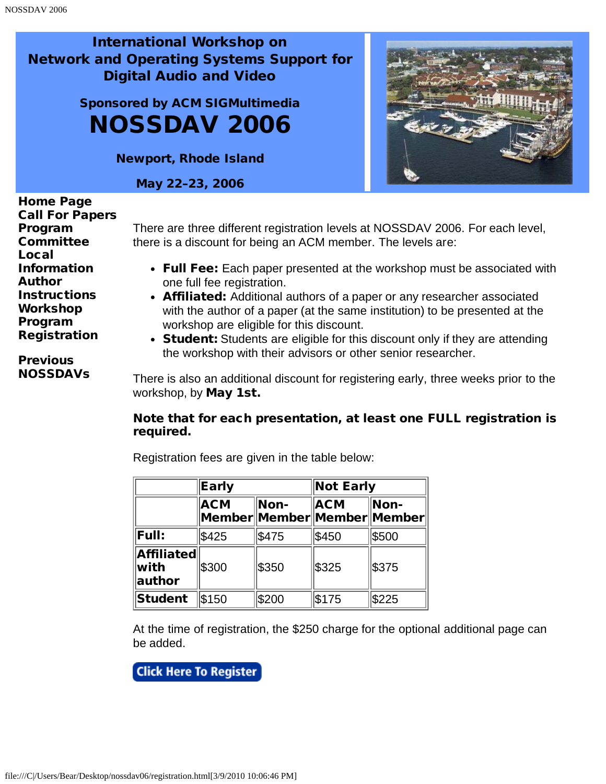<span id="page-19-0"></span>Sponsored by ACM SIGMultimedia NOSSDAV 2006

Newport, Rhode Island

May 22–23, 2006



[Home Page](javascript:if(confirm() [Call For Papers](#page-1-0) [Program](#page-3-0) **[Committee](#page-3-0)** [Local](#page-5-0) [Information](#page-5-0) [Author](#page-7-0) **[Instructions](#page-7-0)** [Workshop](#page-9-0) [Program](#page-9-0) **[Registration](#page-19-0)** 

**[Previous](javascript:if(confirm()** [NOSSDAVs](javascript:if(confirm() There are three different registration levels at NOSSDAV 2006. For each level, there is a discount for being an ACM member. The levels are:

- Full Fee: Each paper presented at the workshop must be associated with one full fee registration.
- Affiliated: Additional authors of a paper or any researcher associated with the author of a paper (at the same institution) to be presented at the workshop are eligible for this discount.
- Student: Students are eligible for this discount only if they are attending the workshop with their advisors or other senior researcher.

There is also an additional discount for registering early, three weeks prior to the workshop, by May 1st.

#### Note that for each presentation, at least one FULL registration is required.

Registration fees are given in the table below:

|                                                       | Early      |       | <b>Not Early</b>                              |       |
|-------------------------------------------------------|------------|-------|-----------------------------------------------|-------|
|                                                       | <b>ACM</b> | Non-  | <b>ACM</b><br> Member  Member  Member  Member | Non-  |
| <b>Full:</b>                                          | \$425      | \$475 | \$450                                         | \$500 |
| <b>Affiliated</b><br>$\mathsf{with}$<br><b>author</b> | \$300      | \$350 | \$325                                         | \$375 |
| Student                                               | \$150      | \$200 | \$175                                         | \$225 |

At the time of registration, the \$250 charge for the optional additional page can be added.

**Click Here To Register**